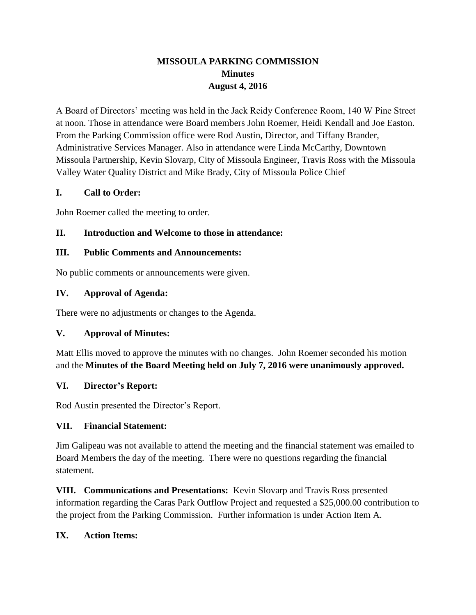# **MISSOULA PARKING COMMISSION Minutes August 4, 2016**

A Board of Directors' meeting was held in the Jack Reidy Conference Room, 140 W Pine Street at noon. Those in attendance were Board members John Roemer, Heidi Kendall and Joe Easton. From the Parking Commission office were Rod Austin, Director, and Tiffany Brander, Administrative Services Manager. Also in attendance were Linda McCarthy, Downtown Missoula Partnership, Kevin Slovarp, City of Missoula Engineer, Travis Ross with the Missoula Valley Water Quality District and Mike Brady, City of Missoula Police Chief

### **I. Call to Order:**

John Roemer called the meeting to order.

### **II. Introduction and Welcome to those in attendance:**

### **III. Public Comments and Announcements:**

No public comments or announcements were given.

### **IV. Approval of Agenda:**

There were no adjustments or changes to the Agenda.

# **V. Approval of Minutes:**

Matt Ellis moved to approve the minutes with no changes. John Roemer seconded his motion and the **Minutes of the Board Meeting held on July 7, 2016 were unanimously approved.**

### **VI. Director's Report:**

Rod Austin presented the Director's Report.

# **VII. Financial Statement:**

Jim Galipeau was not available to attend the meeting and the financial statement was emailed to Board Members the day of the meeting. There were no questions regarding the financial statement.

**VIII. Communications and Presentations:** Kevin Slovarp and Travis Ross presented information regarding the Caras Park Outflow Project and requested a \$25,000.00 contribution to the project from the Parking Commission. Further information is under Action Item A.

# **IX. Action Items:**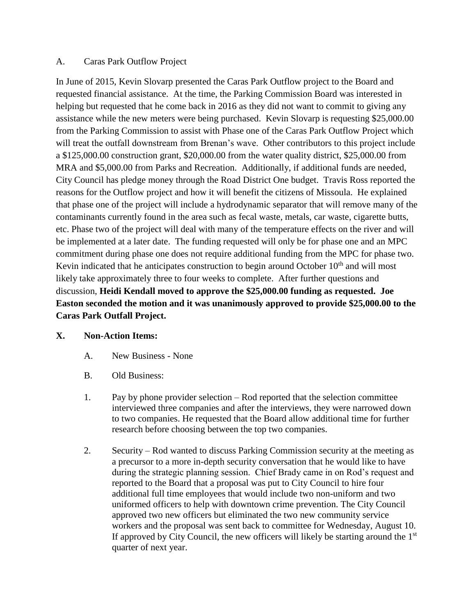### A. Caras Park Outflow Project

In June of 2015, Kevin Slovarp presented the Caras Park Outflow project to the Board and requested financial assistance. At the time, the Parking Commission Board was interested in helping but requested that he come back in 2016 as they did not want to commit to giving any assistance while the new meters were being purchased. Kevin Slovarp is requesting \$25,000.00 from the Parking Commission to assist with Phase one of the Caras Park Outflow Project which will treat the outfall downstream from Brenan's wave. Other contributors to this project include a \$125,000.00 construction grant, \$20,000.00 from the water quality district, \$25,000.00 from MRA and \$5,000.00 from Parks and Recreation. Additionally, if additional funds are needed, City Council has pledge money through the Road District One budget. Travis Ross reported the reasons for the Outflow project and how it will benefit the citizens of Missoula. He explained that phase one of the project will include a hydrodynamic separator that will remove many of the contaminants currently found in the area such as fecal waste, metals, car waste, cigarette butts, etc. Phase two of the project will deal with many of the temperature effects on the river and will be implemented at a later date. The funding requested will only be for phase one and an MPC commitment during phase one does not require additional funding from the MPC for phase two. Kevin indicated that he anticipates construction to begin around October 10<sup>th</sup> and will most likely take approximately three to four weeks to complete. After further questions and discussion, **Heidi Kendall moved to approve the \$25,000.00 funding as requested. Joe Easton seconded the motion and it was unanimously approved to provide \$25,000.00 to the Caras Park Outfall Project.** 

### **X. Non-Action Items:**

- A. New Business None
- B. Old Business:
- 1. Pay by phone provider selection Rod reported that the selection committee interviewed three companies and after the interviews, they were narrowed down to two companies. He requested that the Board allow additional time for further research before choosing between the top two companies.
- 2. Security Rod wanted to discuss Parking Commission security at the meeting as a precursor to a more in-depth security conversation that he would like to have during the strategic planning session. Chief Brady came in on Rod's request and reported to the Board that a proposal was put to City Council to hire four additional full time employees that would include two non-uniform and two uniformed officers to help with downtown crime prevention. The City Council approved two new officers but eliminated the two new community service workers and the proposal was sent back to committee for Wednesday, August 10. If approved by City Council, the new officers will likely be starting around the  $1<sup>st</sup>$ quarter of next year.